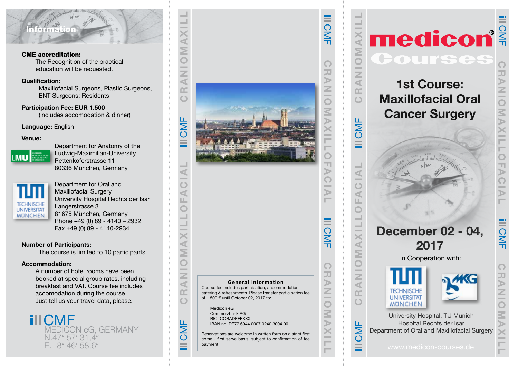# Information

CME accreditation:

The Recognition of the practical education will be requested.

# Qualification:

Maxillofacial Surgeons, Plastic Surgeons, ENT Surgeons; Residents

Participation Fee: EUR 1.500 (includes accomodation & dinner)

# Language: English

## Venue:



 Department for Anatomy of the **LMU Ludwig-Maximilian-University**  Pettenkoferstrasse 11 80336 München, Germany



 Department for Oral and Maxillofacial Surgery University Hospital Rechts der Isar **LECHNISCHE Langerstrasse 3** MÜNCHEN 81675 München, Germany Phone +49 (0) 89 - 4140 – 2932 Fax +49 (0) 89 - 4140-2934

# Number of Participants:

The course is limited to 10 participants.

# Accommodation:

A number of hotel rooms have been booked at special group rates, including breakfast and VAT. Course fee includes accomodation during the course. Just tell us your travel data, please.

**CMF** MEDICON eG, GERMANY N.47° 57' 31,4"<br>E. 8° 46' 58.6"



Reservations are welcome in written form on a strict first come - first serve basis, subject to confirmation of fee payment.<br> **Payment.**<br> **Payment.**<br> **Payment.**<br> **Payment.**<br> **Payment.** 

# CRANIOMAXILL **AX**  $\sum$  $\overline{\bigcirc}$ CRANIOMAXILL CRANIOMAXILLOFACIAL - $\geq$  $\prec$  $\square$  $\circ$ **III CMF** CRANIOMAXILLOFACIAL  $\blacktriangleleft$ -Ò đ  $\equiv$ ₫ Σ -Z  $\overline{a}$ œ  $\circ$ CMF  $\pmb{\times}$  $\overline{\phantom{a}}$

# medicon®  $\sqrt{2}$ TUTSC 1st Course: Maxillofacial Oral Cancer Surgery December 02 - 04, 2017 in Cooperation with:



University Hospital, TU Munich Hospital Rechts der Isar Department of Oral and Maxillofacial Surgery